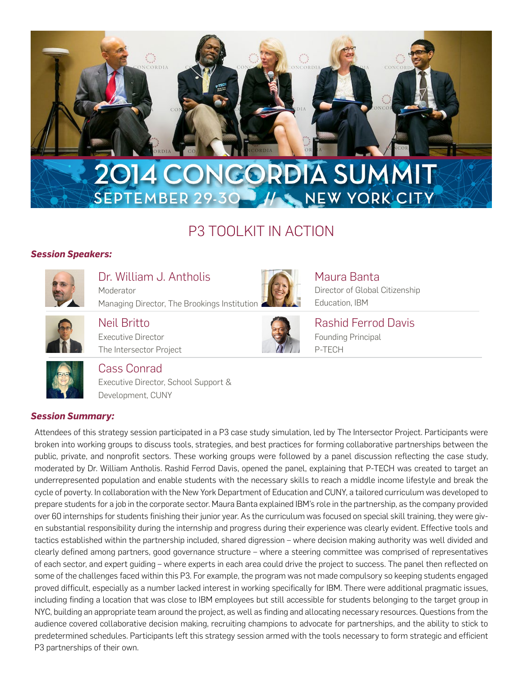

# P3 TOOLKIT IN ACTION

## *Session Speakers:*



Dr. William J. Antholis Moderator Managing Director, The Brookings Institution



Maura Banta Director of Global Citizenship Education, IBM

Neil Britto Executive Director The Intersector Project



Rashid Ferrod Davis Founding Principal P-TECH



Cass Conrad

Executive Director, School Support & Development, CUNY

### *Session Summary:*

Attendees of this strategy session participated in a P3 case study simulation, led by The Intersector Project. Participants were broken into working groups to discuss tools, strategies, and best practices for forming collaborative partnerships between the public, private, and nonprofit sectors. These working groups were followed by a panel discussion reflecting the case study, moderated by Dr. William Antholis. Rashid Ferrod Davis, opened the panel, explaining that P-TECH was created to target an underrepresented population and enable students with the necessary skills to reach a middle income lifestyle and break the cycle of poverty. In collaboration with the New York Department of Education and CUNY, a tailored curriculum was developed to prepare students for a job in the corporate sector. Maura Banta explained IBM's role in the partnership, as the company provided over 60 internships for students finishing their junior year. As the curriculum was focused on special skill training, they were given substantial responsibility during the internship and progress during their experience was clearly evident. Effective tools and tactics established within the partnership included, shared digression – where decision making authority was well divided and clearly defined among partners, good governance structure – where a steering committee was comprised of representatives of each sector, and expert guiding – where experts in each area could drive the project to success. The panel then reflected on some of the challenges faced within this P3. For example, the program was not made compulsory so keeping students engaged proved difficult, especially as a number lacked interest in working specifically for IBM. There were additional pragmatic issues, including finding a location that was close to IBM employees but still accessible for students belonging to the target group in NYC, building an appropriate team around the project, as well as finding and allocating necessary resources. Questions from the audience covered collaborative decision making, recruiting champions to advocate for partnerships, and the ability to stick to predetermined schedules. Participants left this strategy session armed with the tools necessary to form strategic and efficient P3 partnerships of their own.